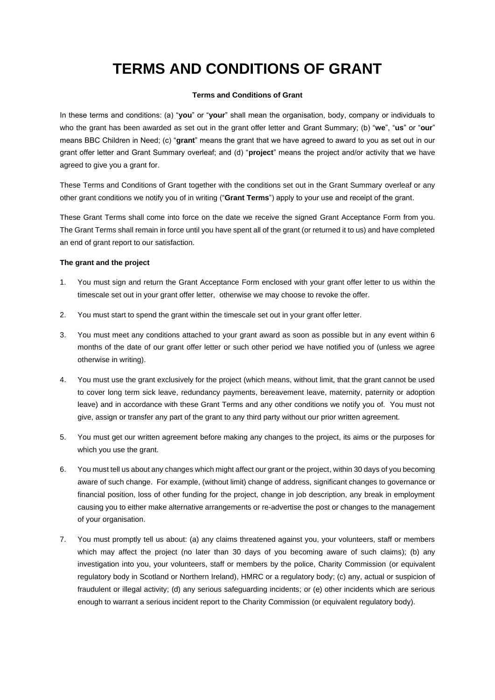# **TERMS AND CONDITIONS OF GRANT**

## **Terms and Conditions of Grant**

In these terms and conditions: (a) "**you**" or "**your**" shall mean the organisation, body, company or individuals to who the grant has been awarded as set out in the grant offer letter and Grant Summary; (b) "**we**", "**us**" or "**our**" means BBC Children in Need; (c) "**grant**" means the grant that we have agreed to award to you as set out in our grant offer letter and Grant Summary overleaf; and (d) "**project**" means the project and/or activity that we have agreed to give you a grant for.

These Terms and Conditions of Grant together with the conditions set out in the Grant Summary overleaf or any other grant conditions we notify you of in writing ("**Grant Terms**") apply to your use and receipt of the grant.

These Grant Terms shall come into force on the date we receive the signed Grant Acceptance Form from you. The Grant Terms shall remain in force until you have spent all of the grant (or returned it to us) and have completed an end of grant report to our satisfaction.

# **The grant and the project**

- 1. You must sign and return the Grant Acceptance Form enclosed with your grant offer letter to us within the timescale set out in your grant offer letter, otherwise we may choose to revoke the offer.
- 2. You must start to spend the grant within the timescale set out in your grant offer letter.
- 3. You must meet any conditions attached to your grant award as soon as possible but in any event within 6 months of the date of our grant offer letter or such other period we have notified you of (unless we agree otherwise in writing).
- 4. You must use the grant exclusively for the project (which means, without limit, that the grant cannot be used to cover long term sick leave, redundancy payments, bereavement leave, maternity, paternity or adoption leave) and in accordance with these Grant Terms and any other conditions we notify you of. You must not give, assign or transfer any part of the grant to any third party without our prior written agreement.
- 5. You must get our written agreement before making any changes to the project, its aims or the purposes for which you use the grant.
- 6. You must tell us about any changes which might affect our grant or the project, within 30 days of you becoming aware of such change. For example, (without limit) change of address, significant changes to governance or financial position, loss of other funding for the project, change in job description, any break in employment causing you to either make alternative arrangements or re-advertise the post or changes to the management of your organisation.
- 7. You must promptly tell us about: (a) any claims threatened against you, your volunteers, staff or members which may affect the project (no later than 30 days of you becoming aware of such claims); (b) any investigation into you, your volunteers, staff or members by the police, Charity Commission (or equivalent regulatory body in Scotland or Northern Ireland), HMRC or a regulatory body; (c) any, actual or suspicion of fraudulent or illegal activity; (d) any serious safeguarding incidents; or (e) other incidents which are serious enough to warrant a serious incident report to the Charity Commission (or equivalent regulatory body).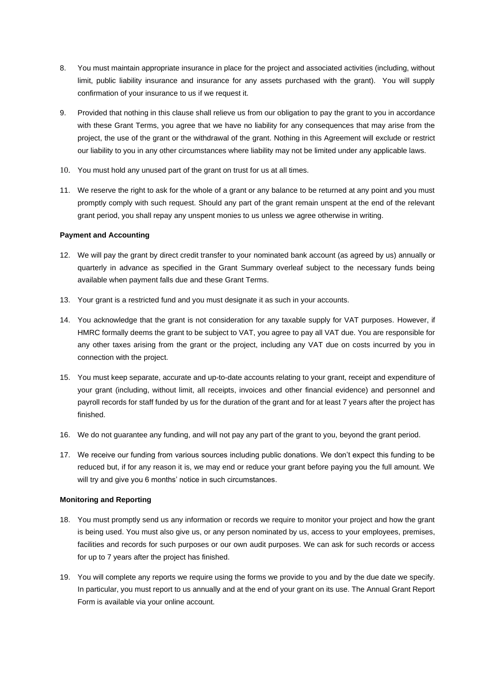- 8. You must maintain appropriate insurance in place for the project and associated activities (including, without limit, public liability insurance and insurance for any assets purchased with the grant). You will supply confirmation of your insurance to us if we request it.
- 9. Provided that nothing in this clause shall relieve us from our obligation to pay the grant to you in accordance with these Grant Terms, you agree that we have no liability for any consequences that may arise from the project, the use of the grant or the withdrawal of the grant. Nothing in this Agreement will exclude or restrict our liability to you in any other circumstances where liability may not be limited under any applicable laws.
- 10. You must hold any unused part of the grant on trust for us at all times.
- 11. We reserve the right to ask for the whole of a grant or any balance to be returned at any point and you must promptly comply with such request. Should any part of the grant remain unspent at the end of the relevant grant period, you shall repay any unspent monies to us unless we agree otherwise in writing.

## **Payment and Accounting**

- 12. We will pay the grant by direct credit transfer to your nominated bank account (as agreed by us) annually or quarterly in advance as specified in the Grant Summary overleaf subject to the necessary funds being available when payment falls due and these Grant Terms.
- 13. Your grant is a restricted fund and you must designate it as such in your accounts.
- 14. You acknowledge that the grant is not consideration for any taxable supply for VAT purposes. However, if HMRC formally deems the grant to be subject to VAT, you agree to pay all VAT due. You are responsible for any other taxes arising from the grant or the project, including any VAT due on costs incurred by you in connection with the project.
- 15. You must keep separate, accurate and up-to-date accounts relating to your grant, receipt and expenditure of your grant (including, without limit, all receipts, invoices and other financial evidence) and personnel and payroll records for staff funded by us for the duration of the grant and for at least 7 years after the project has finished.
- 16. We do not guarantee any funding, and will not pay any part of the grant to you, beyond the grant period.
- 17. We receive our funding from various sources including public donations. We don't expect this funding to be reduced but, if for any reason it is, we may end or reduce your grant before paying you the full amount. We will try and give you 6 months' notice in such circumstances.

#### **Monitoring and Reporting**

- 18. You must promptly send us any information or records we require to monitor your project and how the grant is being used. You must also give us, or any person nominated by us, access to your employees, premises, facilities and records for such purposes or our own audit purposes. We can ask for such records or access for up to 7 years after the project has finished.
- 19. You will complete any reports we require using the forms we provide to you and by the due date we specify. In particular, you must report to us annually and at the end of your grant on its use. The Annual Grant Report Form is available via your online account.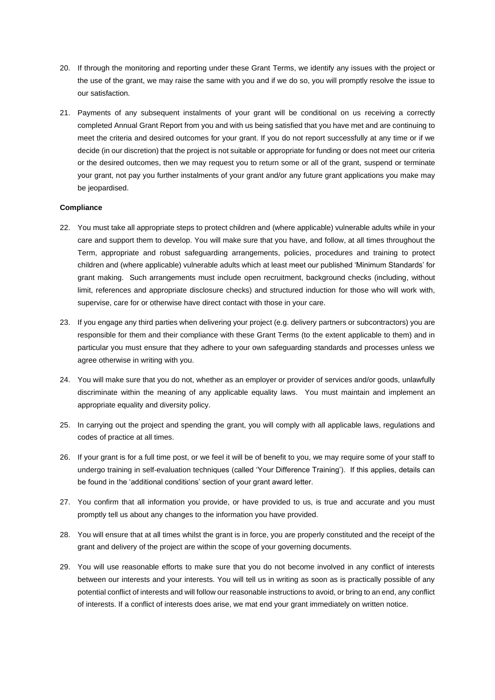- 20. If through the monitoring and reporting under these Grant Terms, we identify any issues with the project or the use of the grant, we may raise the same with you and if we do so, you will promptly resolve the issue to our satisfaction.
- 21. Payments of any subsequent instalments of your grant will be conditional on us receiving a correctly completed Annual Grant Report from you and with us being satisfied that you have met and are continuing to meet the criteria and desired outcomes for your grant. If you do not report successfully at any time or if we decide (in our discretion) that the project is not suitable or appropriate for funding or does not meet our criteria or the desired outcomes, then we may request you to return some or all of the grant, suspend or terminate your grant, not pay you further instalments of your grant and/or any future grant applications you make may be jeopardised.

#### **Compliance**

- 22. You must take all appropriate steps to protect children and (where applicable) vulnerable adults while in your care and support them to develop. You will make sure that you have, and follow, at all times throughout the Term, appropriate and robust safeguarding arrangements, policies, procedures and training to protect children and (where applicable) vulnerable adults which at least meet our published 'Minimum Standards' for grant making. Such arrangements must include open recruitment, background checks (including, without limit, references and appropriate disclosure checks) and structured induction for those who will work with, supervise, care for or otherwise have direct contact with those in your care.
- 23. If you engage any third parties when delivering your project (e.g. delivery partners or subcontractors) you are responsible for them and their compliance with these Grant Terms (to the extent applicable to them) and in particular you must ensure that they adhere to your own safeguarding standards and processes unless we agree otherwise in writing with you.
- 24. You will make sure that you do not, whether as an employer or provider of services and/or goods, unlawfully discriminate within the meaning of any applicable equality laws. You must maintain and implement an appropriate equality and diversity policy.
- 25. In carrying out the project and spending the grant, you will comply with all applicable laws, regulations and codes of practice at all times.
- 26. If your grant is for a full time post, or we feel it will be of benefit to you, we may require some of your staff to undergo training in self-evaluation techniques (called 'Your Difference Training'). If this applies, details can be found in the 'additional conditions' section of your grant award letter.
- 27. You confirm that all information you provide, or have provided to us, is true and accurate and you must promptly tell us about any changes to the information you have provided.
- 28. You will ensure that at all times whilst the grant is in force, you are properly constituted and the receipt of the grant and delivery of the project are within the scope of your governing documents.
- 29. You will use reasonable efforts to make sure that you do not become involved in any conflict of interests between our interests and your interests. You will tell us in writing as soon as is practically possible of any potential conflict of interests and will follow our reasonable instructions to avoid, or bring to an end, any conflict of interests. If a conflict of interests does arise, we mat end your grant immediately on written notice.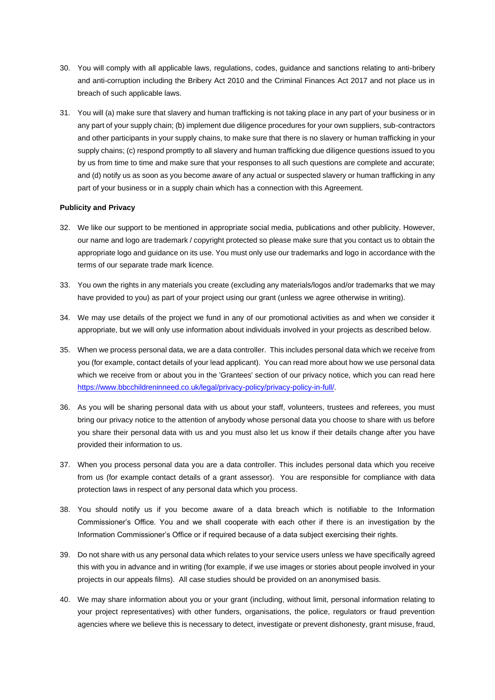- 30. You will comply with all applicable laws, regulations, codes, guidance and sanctions relating to anti-bribery and anti-corruption including the Bribery Act 2010 and the Criminal Finances Act 2017 and not place us in breach of such applicable laws.
- 31. You will (a) make sure that slavery and human trafficking is not taking place in any part of your business or in any part of your supply chain; (b) implement due diligence procedures for your own suppliers, sub-contractors and other participants in your supply chains, to make sure that there is no slavery or human trafficking in your supply chains; (c) respond promptly to all slavery and human trafficking due diligence questions issued to you by us from time to time and make sure that your responses to all such questions are complete and accurate; and (d) notify us as soon as you become aware of any actual or suspected slavery or human trafficking in any part of your business or in a supply chain which has a connection with this Agreement.

## **Publicity and Privacy**

- 32. We like our support to be mentioned in appropriate social media, publications and other publicity. However, our name and logo are trademark / copyright protected so please make sure that you contact us to obtain the appropriate logo and guidance on its use. You must only use our trademarks and logo in accordance with the terms of our separate trade mark licence.
- 33. You own the rights in any materials you create (excluding any materials/logos and/or trademarks that we may have provided to you) as part of your project using our grant (unless we agree otherwise in writing).
- 34. We may use details of the project we fund in any of our promotional activities as and when we consider it appropriate, but we will only use information about individuals involved in your projects as described below.
- 35. When we process personal data, we are a data controller. This includes personal data which we receive from you (for example, contact details of your lead applicant). You can read more about how we use personal data which we receive from or about you in the 'Grantees' section of our privacy notice, which you can read here [https://www.bbcchildreninneed.co.uk/legal/privacy-policy/privacy-policy-in-full/.](https://www.bbcchildreninneed.co.uk/legal/privacy-policy/privacy-policy-in-full/)
- 36. As you will be sharing personal data with us about your staff, volunteers, trustees and referees, you must bring our privacy notice to the attention of anybody whose personal data you choose to share with us before you share their personal data with us and you must also let us know if their details change after you have provided their information to us.
- 37. When you process personal data you are a data controller. This includes personal data which you receive from us (for example contact details of a grant assessor). You are responsible for compliance with data protection laws in respect of any personal data which you process.
- 38. You should notify us if you become aware of a data breach which is notifiable to the Information Commissioner's Office. You and we shall cooperate with each other if there is an investigation by the Information Commissioner's Office or if required because of a data subject exercising their rights.
- 39. Do not share with us any personal data which relates to your service users unless we have specifically agreed this with you in advance and in writing (for example, if we use images or stories about people involved in your projects in our appeals films). All case studies should be provided on an anonymised basis.
- 40. We may share information about you or your grant (including, without limit, personal information relating to your project representatives) with other funders, organisations, the police, regulators or fraud prevention agencies where we believe this is necessary to detect, investigate or prevent dishonesty, grant misuse, fraud,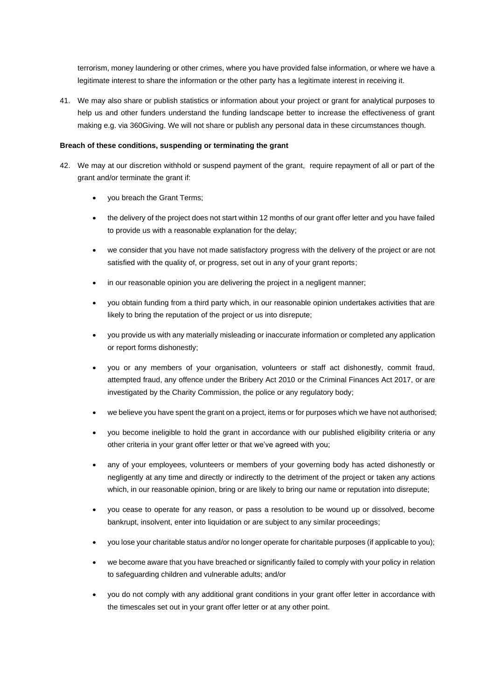terrorism, money laundering or other crimes, where you have provided false information, or where we have a legitimate interest to share the information or the other party has a legitimate interest in receiving it.

41. We may also share or publish statistics or information about your project or grant for analytical purposes to help us and other funders understand the funding landscape better to increase the effectiveness of grant making e.g. via 360Giving. We will not share or publish any personal data in these circumstances though.

# **Breach of these conditions, suspending or terminating the grant**

- 42. We may at our discretion withhold or suspend payment of the grant, require repayment of all or part of the grant and/or terminate the grant if:
	- you breach the Grant Terms;
	- the delivery of the project does not start within 12 months of our grant offer letter and you have failed to provide us with a reasonable explanation for the delay;
	- we consider that you have not made satisfactory progress with the delivery of the project or are not satisfied with the quality of, or progress, set out in any of your grant reports;
	- in our reasonable opinion you are delivering the project in a negligent manner;
	- you obtain funding from a third party which, in our reasonable opinion undertakes activities that are likely to bring the reputation of the project or us into disrepute;
	- you provide us with any materially misleading or inaccurate information or completed any application or report forms dishonestly;
	- you or any members of your organisation, volunteers or staff act dishonestly, commit fraud, attempted fraud, any offence under the Bribery Act 2010 or the Criminal Finances Act 2017, or are investigated by the Charity Commission, the police or any regulatory body;
	- we believe you have spent the grant on a project, items or for purposes which we have not authorised;
	- you become ineligible to hold the grant in accordance with our published eligibility criteria or any other criteria in your grant offer letter or that we've agreed with you;
	- any of your employees, volunteers or members of your governing body has acted dishonestly or negligently at any time and directly or indirectly to the detriment of the project or taken any actions which, in our reasonable opinion, bring or are likely to bring our name or reputation into disrepute;
	- you cease to operate for any reason, or pass a resolution to be wound up or dissolved, become bankrupt, insolvent, enter into liquidation or are subject to any similar proceedings;
	- you lose your charitable status and/or no longer operate for charitable purposes (if applicable to you);
	- we become aware that you have breached or significantly failed to comply with your policy in relation to safeguarding children and vulnerable adults; and/or
	- you do not comply with any additional grant conditions in your grant offer letter in accordance with the timescales set out in your grant offer letter or at any other point.